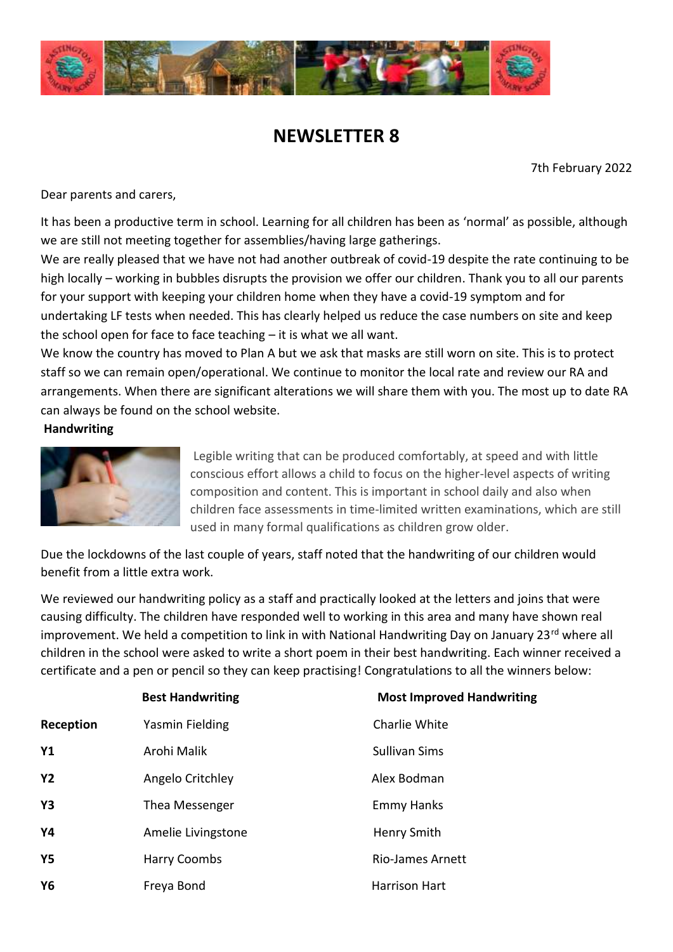

# **NEWSLETTER 8**

7th February 2022

Dear parents and carers,

It has been a productive term in school. Learning for all children has been as 'normal' as possible, although we are still not meeting together for assemblies/having large gatherings.

We are really pleased that we have not had another outbreak of covid-19 despite the rate continuing to be high locally – working in bubbles disrupts the provision we offer our children. Thank you to all our parents for your support with keeping your children home when they have a covid-19 symptom and for undertaking LF tests when needed. This has clearly helped us reduce the case numbers on site and keep the school open for face to face teaching – it is what we all want.

We know the country has moved to Plan A but we ask that masks are still worn on site. This is to protect staff so we can remain open/operational. We continue to monitor the local rate and review our RA and arrangements. When there are significant alterations we will share them with you. The most up to date RA can always be found on the school website.

**Handwriting**



Legible writing that can be produced comfortably, at speed and with little conscious effort allows a child to focus on the higher-level aspects of writing composition and content. This is important in school daily and also when children face assessments in time-limited written examinations, which are still used in many formal qualifications as children grow older.

Due the lockdowns of the last couple of years, staff noted that the handwriting of our children would benefit from a little extra work.

We reviewed our handwriting policy as a staff and practically looked at the letters and joins that were causing difficulty. The children have responded well to working in this area and many have shown real improvement. We held a competition to link in with National Handwriting Day on January 23 $^{\text{rd}}$  where all children in the school were asked to write a short poem in their best handwriting. Each winner received a certificate and a pen or pencil so they can keep practising! Congratulations to all the winners below:

|           | <b>Best Handwriting</b> | <b>Most Improved Handwriting</b> |
|-----------|-------------------------|----------------------------------|
| Reception | Yasmin Fielding         | Charlie White                    |
| <b>Y1</b> | Arohi Malik             | <b>Sullivan Sims</b>             |
| <b>Y2</b> | Angelo Critchley        | Alex Bodman                      |
| Y3        | Thea Messenger          | <b>Emmy Hanks</b>                |
| Υ4        | Amelie Livingstone      | Henry Smith                      |
| Υ5        | <b>Harry Coombs</b>     | <b>Rio-James Arnett</b>          |
| <b>Y6</b> | Freya Bond              | <b>Harrison Hart</b>             |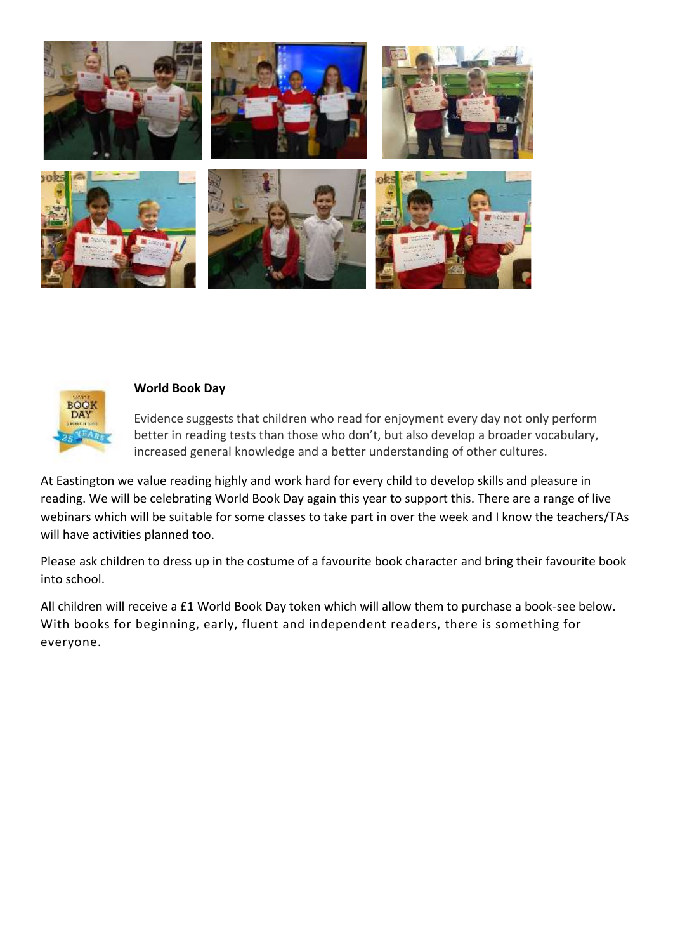



#### **World Book Day**

Evidence suggests that children who read for enjoyment every day not only perform better in reading tests than those who don't, but also develop a broader vocabulary, increased general knowledge and a better understanding of other cultures.

At Eastington we value reading highly and work hard for every child to develop skills and pleasure in reading. We will be celebrating World Book Day again this year to support this. There are a range of live webinars which will be suitable for some classes to take part in over the week and I know the teachers/TAs will have activities planned too.

Please ask children to dress up in the costume of a favourite book character and bring their favourite book into school.

All children will receive a £1 World Book Day token which will allow them to purchase a book-see below. With books for beginning, early, fluent and independent readers, there is something for everyone.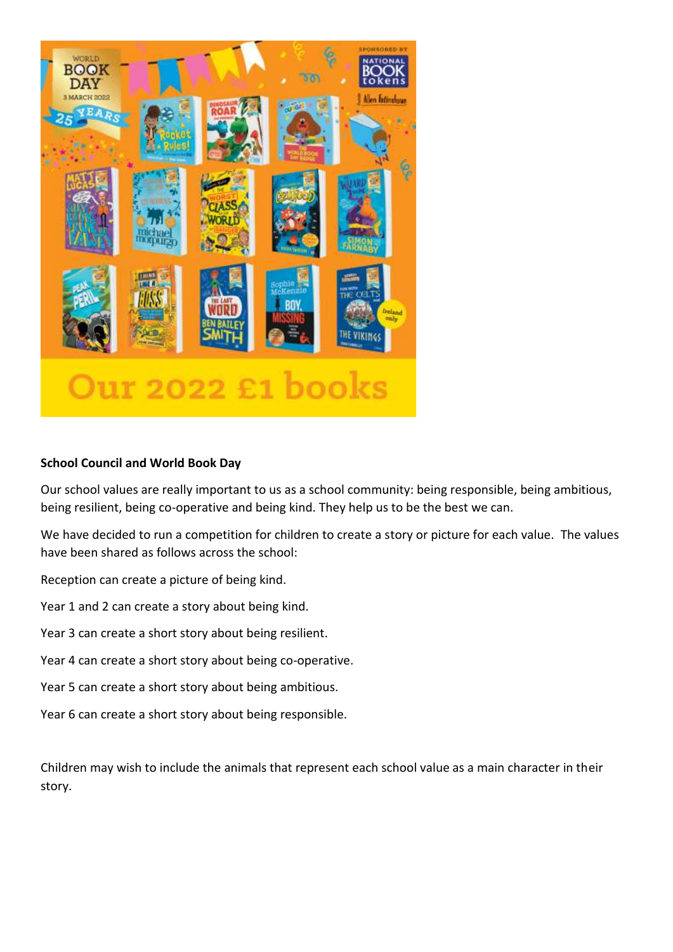

## **School Council and World Book Day**

Our school values are really important to us as a school community: being responsible, being ambitious, being resilient, being co-operative and being kind. They help us to be the best we can.

We have decided to run a competition for children to create a story or picture for each value. The values have been shared as follows across the school:

Reception can create a picture of being kind.

Year 1 and 2 can create a story about being kind.

- Year 3 can create a short story about being resilient.
- Year 4 can create a short story about being co-operative.
- Year 5 can create a short story about being ambitious.

Year 6 can create a short story about being responsible.

Children may wish to include the animals that represent each school value as a main character in their story.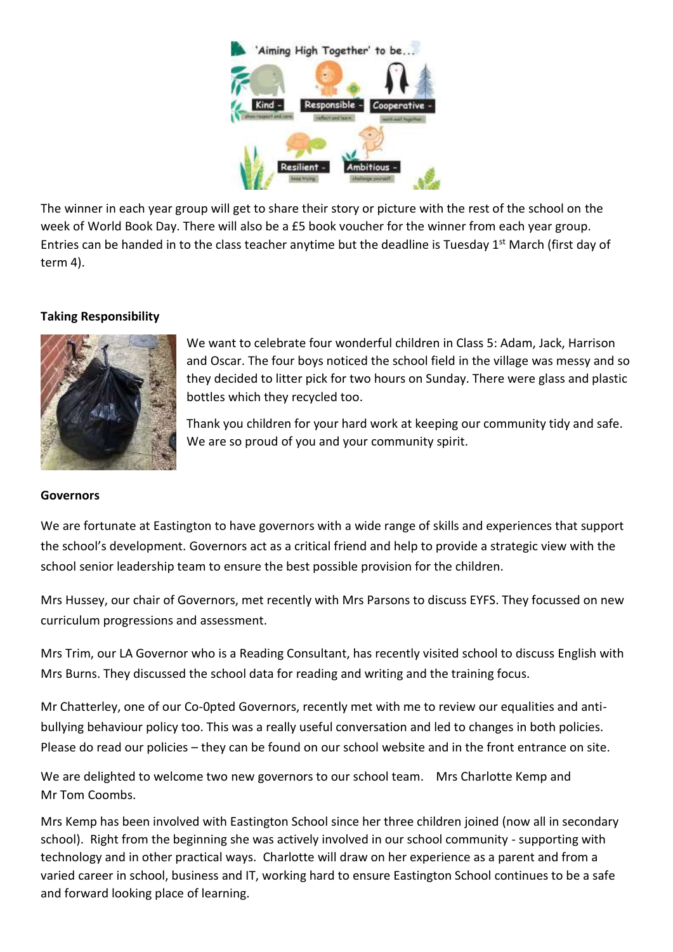

The winner in each year group will get to share their story or picture with the rest of the school on the week of World Book Day. There will also be a £5 book voucher for the winner from each year group. Entries can be handed in to the class teacher anytime but the deadline is Tuesday 1<sup>st</sup> March (first day of term 4).

## **Taking Responsibility**



We want to celebrate four wonderful children in Class 5: Adam, Jack, Harrison and Oscar. The four boys noticed the school field in the village was messy and so they decided to litter pick for two hours on Sunday. There were glass and plastic bottles which they recycled too.

Thank you children for your hard work at keeping our community tidy and safe. We are so proud of you and your community spirit.

### **Governors**

We are fortunate at Eastington to have governors with a wide range of skills and experiences that support the school's development. Governors act as a critical friend and help to provide a strategic view with the school senior leadership team to ensure the best possible provision for the children.

Mrs Hussey, our chair of Governors, met recently with Mrs Parsons to discuss EYFS. They focussed on new curriculum progressions and assessment.

Mrs Trim, our LA Governor who is a Reading Consultant, has recently visited school to discuss English with Mrs Burns. They discussed the school data for reading and writing and the training focus.

Mr Chatterley, one of our Co-0pted Governors, recently met with me to review our equalities and antibullying behaviour policy too. This was a really useful conversation and led to changes in both policies. Please do read our policies – they can be found on our school website and in the front entrance on site.

We are delighted to welcome two new governors to our school team. Mrs Charlotte Kemp and Mr Tom Coombs.

Mrs Kemp has been involved with Eastington School since her three children joined (now all in secondary school). Right from the beginning she was actively involved in our school community - supporting with technology and in other practical ways. Charlotte will draw on her experience as a parent and from a varied career in school, business and IT, working hard to ensure Eastington School continues to be a safe and forward looking place of learning.